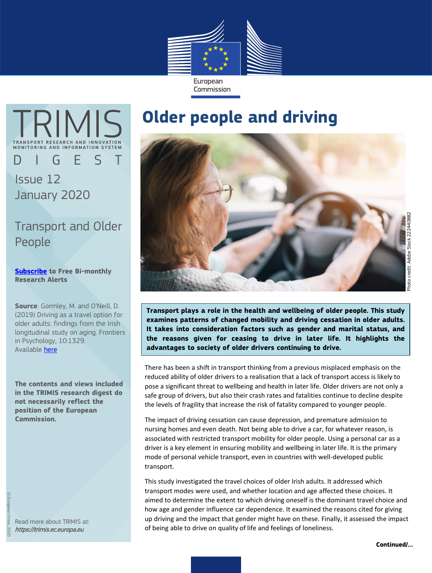

**TRIMIS** D I G E S T Issue 12 January 2020

Transport and Older People

**[Subscribe](https://trimis.ec.europa.eu/user/login) to Free Bi-monthly Research Alerts**

**Source**: Gormley, M. and O'Neill, D. (2019) Driving as a travel option for older adults: findings from the Irish longitudinal study on aging. Frontiers in Psychology, 10:1329. Available [here](https://doi.org/10.3389/fpsyg.2019.01329)

**The contents and views included in the TRIMIS research digest do not necessarily reflect the position of the European Commission.**

Read more about TRIMIS at: https://trimis.ec.europa.eu

## **Older people and driving**



**Transport plays a role in the health and wellbeing of older people. This study examines patterns of changed mobility and driving cessation in older adults. It takes into consideration factors such as gender and marital status, and the reasons given for ceasing to drive in later life. It highlights the advantages to society of older drivers continuing to drive.**

There has been a shift in transport thinking from a previous misplaced emphasis on the reduced ability of older drivers to a realisation that a lack of transport access is likely to pose a significant threat to wellbeing and health in later life. Older drivers are not only a safe group of drivers, but also their crash rates and fatalities continue to decline despite the levels of fragility that increase the risk of fatality compared to younger people.

The impact of driving cessation can cause depression, and premature admission to nursing homes and even death. Not being able to drive a car, for whatever reason, is associated with restricted transport mobility for older people. Using a personal car as a driver is a key element in ensuring mobility and wellbeing in later life. It is the primary mode of personal vehicle transport, even in countries with well-developed public transport.

This study investigated the travel choices of older Irish adults. It addressed which transport modes were used, and whether location and age affected these choices. It aimed to determine the extent to which driving oneself is the dominant travel choice and how age and gender influence car dependence. It examined the reasons cited for giving up driving and the impact that gender might have on these. Finally, it assessed the impact of being able to drive on quality of life and feelings of loneliness.

**Continued/…**